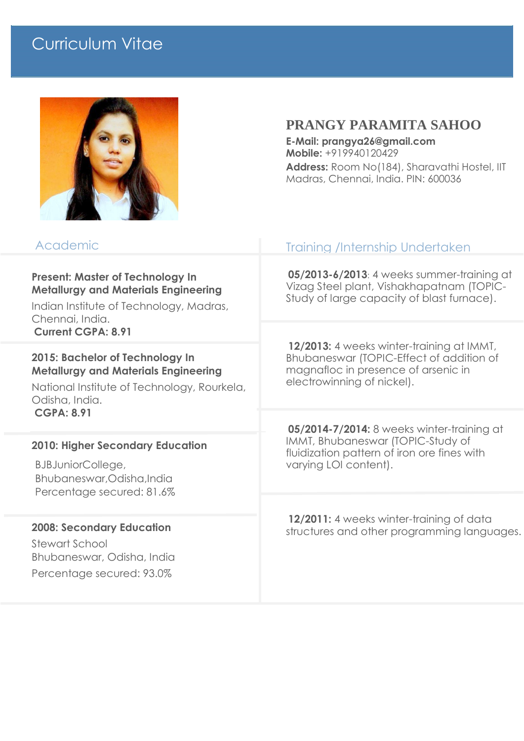## Curriculum Vitae



## **PRANGY PARAMITA SAHOO**

**E-Mail: prangya26@gmail.com Mobile:** +919940120429

**Address:** Room No(184), Sharavathi Hostel, IIT Madras, Chennai, India. PIN: 600036

| Academic                                                                                                                                                                          | <b>Training /Internship Undertaken</b>                                                                                                                     |
|-----------------------------------------------------------------------------------------------------------------------------------------------------------------------------------|------------------------------------------------------------------------------------------------------------------------------------------------------------|
| <b>Present: Master of Technology In</b><br><b>Metallurgy and Materials Engineering</b><br>Indian Institute of Technology, Madras,<br>Chennai, India.<br><b>Current CGPA: 8.91</b> | 05/2013-6/2013: 4 weeks summer-training at<br>Vizag Steel plant, Vishakhapatnam (TOPIC-<br>Study of large capacity of blast furnace).                      |
|                                                                                                                                                                                   | 12/2013: 4 weeks winter-training at IMMT,<br>Bhubaneswar (TOPIC-Effect of addition of<br>magnafloc in presence of arsenic in<br>electrowinning of nickel). |
| 2015: Bachelor of Technology In<br><b>Metallurgy and Materials Engineering</b><br>National Institute of Technology, Rourkela,<br>Odisha, India.<br><b>CGPA: 8.91</b>              |                                                                                                                                                            |
|                                                                                                                                                                                   | 05/2014-7/2014: 8 weeks winter-training at<br>IMMT, Bhubaneswar (TOPIC-Study of<br>fluidization pattern of iron ore fines with<br>varying LOI content).    |
| <b>2010: Higher Secondary Education</b><br>BJBJuniorCollege,<br>Bhubaneswar, Odisha, India<br>Percentage secured: 81.6%                                                           |                                                                                                                                                            |
|                                                                                                                                                                                   | 12/2011: 4 weeks winter-training of data<br>structures and other programming languages.                                                                    |
| <b>2008: Secondary Education</b><br><b>Stewart School</b><br>Bhubaneswar, Odisha, India<br>Percentage secured: 93.0%                                                              |                                                                                                                                                            |
|                                                                                                                                                                                   |                                                                                                                                                            |